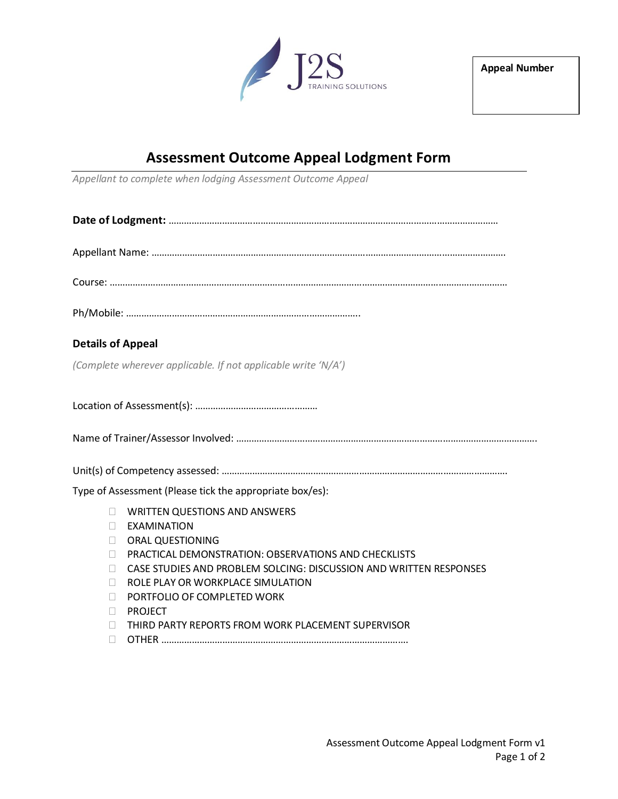

## **Assessment Outcome Appeal Lodgment Form**

*Appellant to complete when lodging Assessment Outcome Appeal*

| <b>Details of Appeal</b>                                                                                                                                                                                                                                                                                                                                                                                                |
|-------------------------------------------------------------------------------------------------------------------------------------------------------------------------------------------------------------------------------------------------------------------------------------------------------------------------------------------------------------------------------------------------------------------------|
| (Complete wherever applicable. If not applicable write 'N/A')                                                                                                                                                                                                                                                                                                                                                           |
|                                                                                                                                                                                                                                                                                                                                                                                                                         |
|                                                                                                                                                                                                                                                                                                                                                                                                                         |
|                                                                                                                                                                                                                                                                                                                                                                                                                         |
| Type of Assessment (Please tick the appropriate box/es):                                                                                                                                                                                                                                                                                                                                                                |
| <b>WRITTEN QUESTIONS AND ANSWERS</b><br>П<br>EXAMINATION<br>$\Box$<br><b>ORAL QUESTIONING</b><br>$\Box$<br><b>PRACTICAL DEMONSTRATION: OBSERVATIONS AND CHECKLISTS</b><br>П<br>CASE STUDIES AND PROBLEM SOLCING: DISCUSSION AND WRITTEN RESPONSES<br>П<br>ROLE PLAY OR WORKPLACE SIMULATION<br>П<br>PORTFOLIO OF COMPLETED WORK<br>$\Box$<br><b>PROJECT</b><br>П.<br>THIRD PARTY REPORTS FROM WORK PLACEMENT SUPERVISOR |
| П                                                                                                                                                                                                                                                                                                                                                                                                                       |